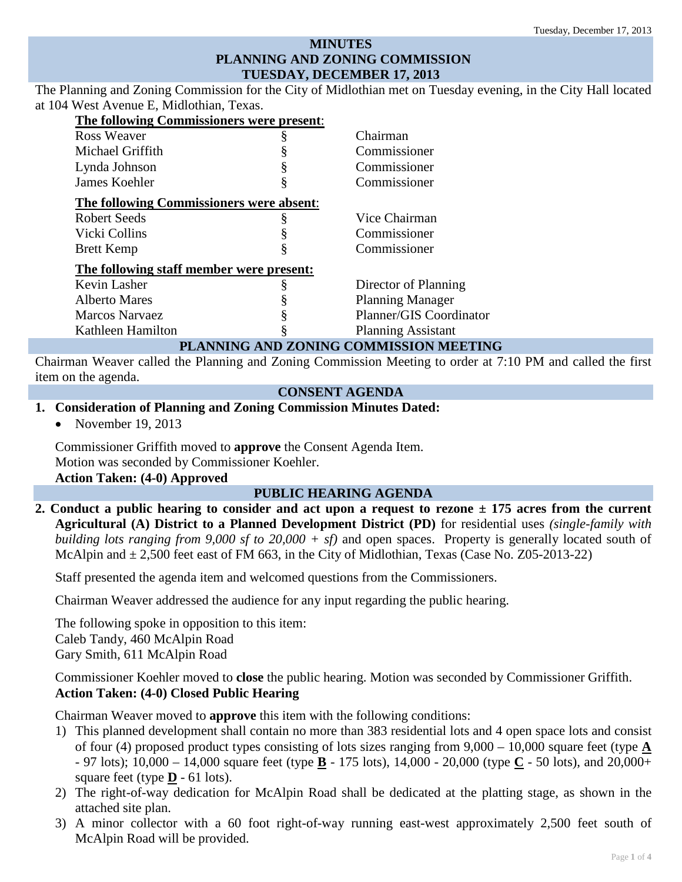## **MINUTES PLANNING AND ZONING COMMISSION TUESDAY, DECEMBER 17, 2013**

The Planning and Zoning Commission for the City of Midlothian met on Tuesday evening, in the City Hall located at 104 West Avenue E, Midlothian, Texas.

| The following Commissioners were present:       |                                    |
|-------------------------------------------------|------------------------------------|
| Ross Weaver                                     | Chairman                           |
| Michael Griffith                                | Commissioner                       |
| Lynda Johnson                                   | Commissioner                       |
| James Koehler                                   | Commissioner                       |
| <b>The following Commissioners were absent:</b> |                                    |
| Robert Seeds                                    | Vice Chairman                      |
| Vicki Collins                                   | Commissioner                       |
| <b>Brett Kemp</b>                               | Commissioner                       |
| The following staff member were present:        |                                    |
| Kevin Lasher                                    | Director of Planning               |
| <b>Alberto Mares</b>                            | <b>Planning Manager</b>            |
| <b>Marcos Narvaez</b>                           | Planner/GIS Coordinator            |
| Kathleen Hamilton                               | <b>Planning Assistant</b><br>----- |

### **PLANNING AND ZONING COMMISSION MEETING**

Chairman Weaver called the Planning and Zoning Commission Meeting to order at 7:10 PM and called the first item on the agenda.

### **CONSENT AGENDA**

#### **1. Consideration of Planning and Zoning Commission Minutes Dated:**

• November 19, 2013

Commissioner Griffith moved to **approve** the Consent Agenda Item. Motion was seconded by Commissioner Koehler. **Action Taken: (4-0) Approved**

#### **PUBLIC HEARING AGENDA**

**2. Conduct a public hearing to consider and act upon a request to rezone ± 175 acres from the current Agricultural (A) District to a Planned Development District (PD)** for residential uses *(single-family with building lots ranging from 9,000 sf to 20,000 + sf)* and open spaces. Property is generally located south of McAlpin and  $\pm 2,500$  feet east of FM 663, in the City of Midlothian, Texas (Case No. Z05-2013-22)

Staff presented the agenda item and welcomed questions from the Commissioners.

Chairman Weaver addressed the audience for any input regarding the public hearing.

The following spoke in opposition to this item: Caleb Tandy, 460 McAlpin Road Gary Smith, 611 McAlpin Road

Commissioner Koehler moved to **close** the public hearing. Motion was seconded by Commissioner Griffith. **Action Taken: (4-0) Closed Public Hearing**

Chairman Weaver moved to **approve** this item with the following conditions:

- 1) This planned development shall contain no more than 383 residential lots and 4 open space lots and consist of four (4) proposed product types consisting of lots sizes ranging from 9,000 – 10,000 square feet (type **A** - 97 lots); 10,000 – 14,000 square feet (type **B** - 175 lots), 14,000 - 20,000 (type **C** - 50 lots), and 20,000+ square feet (type  $\underline{\mathbf{D}}$  - 61 lots).
- 2) The right-of-way dedication for McAlpin Road shall be dedicated at the platting stage, as shown in the attached site plan.
- 3) A minor collector with a 60 foot right-of-way running east-west approximately 2,500 feet south of McAlpin Road will be provided.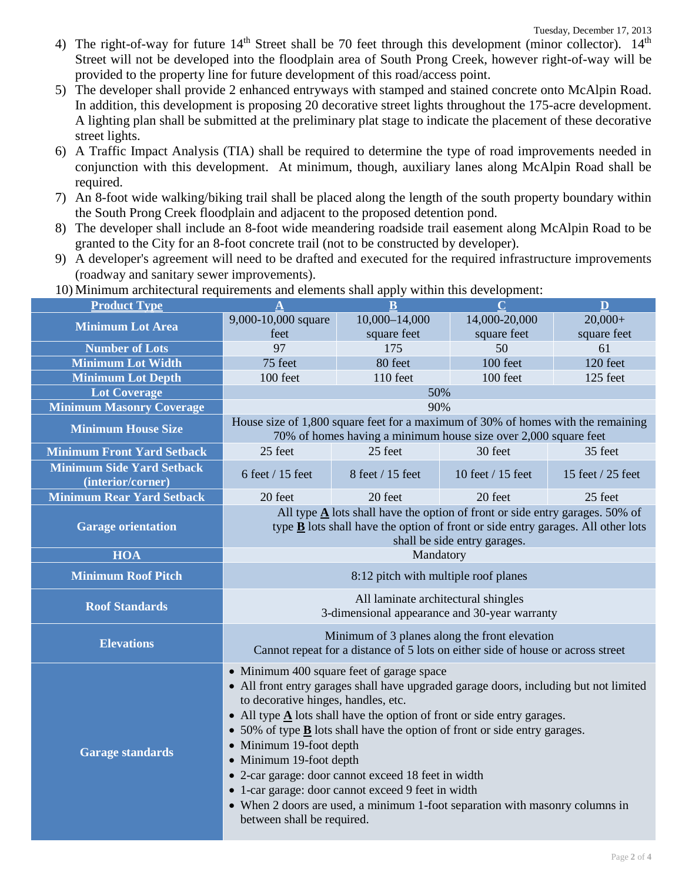- 4) The right-of-way for future  $14<sup>th</sup>$  Street shall be 70 feet through this development (minor collector).  $14<sup>th</sup>$ Street will not be developed into the floodplain area of South Prong Creek, however right-of-way will be provided to the property line for future development of this road/access point.
- 5) The developer shall provide 2 enhanced entryways with stamped and stained concrete onto McAlpin Road. In addition, this development is proposing 20 decorative street lights throughout the 175-acre development. A lighting plan shall be submitted at the preliminary plat stage to indicate the placement of these decorative street lights.
- 6) A Traffic Impact Analysis (TIA) shall be required to determine the type of road improvements needed in conjunction with this development. At minimum, though, auxiliary lanes along McAlpin Road shall be required.
- 7) An 8-foot wide walking/biking trail shall be placed along the length of the south property boundary within the South Prong Creek floodplain and adjacent to the proposed detention pond.
- 8) The developer shall include an 8-foot wide meandering roadside trail easement along McAlpin Road to be granted to the City for an 8-foot concrete trail (not to be constructed by developer).
- 9) A developer's agreement will need to be drafted and executed for the required infrastructure improvements (roadway and sanitary sewer improvements).
- 10) Minimum architectural requirements and elements shall apply within this development: **Product Type A B C D Minimum Lot Area** 9,000-10,000 square feet 10,000–14,000 square feet 14,000-20,000 square feet  $20,000+$ square feet **Number of Lots 175** 175 175 50 50 61 **Minimum Lot Width** 120 feet 100 feet 100 feet 120 feet 120 feet **Minimum Lot Depth** 100 feet 110 feet 110 feet 100 feet 125 feet **Lot Coverage 50% Minimum Masonry Coverage 1200 CM 1200 CM 1200 CM 1200 CM 1200 CM 1200 CM Minimum House Size** House size of 1,800 square feet for a maximum of 30% of homes with the remaining **Minimum House Size** 70% of homes having a minimum house size over 2,000 square feet **Minimum Front Yard Setback 25 feet 25 feet 25 feet 30 feet 35 feet 35 feet Minimum Side Yard Setback**  (interior/corner) 6 feet / 15 feet 8 feet / 15 feet 10 feet / 15 feet 15 feet / 25 feet **Minimum Rear Yard Setback 20 feet 20 feet 20 feet 20 feet 25 feet 25 feet Garage orientation** All type **A** lots shall have the option of front or side entry garages. 50% of type **B** lots shall have the option of front or side entry garages. All other lots shall be side entry garages. **HOA** Mandatory **Minimum Roof Pitch 8:12 pitch with multiple roof planes Roof Standards Roof Standards All laminate architectural shingles** 3-dimensional appearance and 30-year warranty **Elevations** Minimum of 3 planes along the front elevation Cannot repeat for a distance of 5 lots on either side of house or across street **Garage standards** • Minimum 400 square feet of garage space • All front entry garages shall have upgraded garage doors, including but not limited to decorative hinges, handles, etc. • All type **A** lots shall have the option of front or side entry garages. • 50% of type **B** lots shall have the option of front or side entry garages. • Minimum 19-foot depth • Minimum 19-foot depth • 2-car garage: door cannot exceed 18 feet in width • 1-car garage: door cannot exceed 9 feet in width • When 2 doors are used, a minimum 1-foot separation with masonry columns in between shall be required.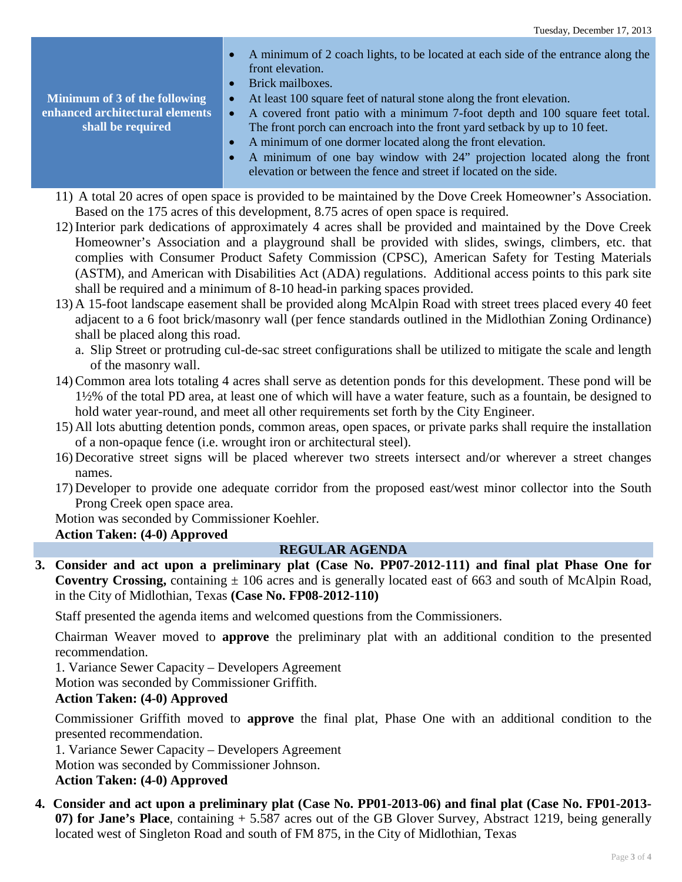**Minimum of 3 of the following enhanced architectural elements shall be required** • A minimum of 2 coach lights, to be located at each side of the entrance along the front elevation. • Brick mailboxes. • At least 100 square feet of natural stone along the front elevation. • A covered front patio with a minimum 7-foot depth and 100 square feet total. The front porch can encroach into the front yard setback by up to 10 feet. • A minimum of one dormer located along the front elevation. • A minimum of one bay window with 24" projection located along the front elevation or between the fence and street if located on the side. 11) A total 20 acres of open space is provided to be maintained by the Dove Creek Homeowner's Association.

- Based on the 175 acres of this development, 8.75 acres of open space is required.
- 12) Interior park dedications of approximately 4 acres shall be provided and maintained by the Dove Creek Homeowner's Association and a playground shall be provided with slides, swings, climbers, etc. that complies with Consumer Product Safety Commission (CPSC), American Safety for Testing Materials (ASTM), and American with Disabilities Act (ADA) regulations. Additional access points to this park site shall be required and a minimum of 8-10 head-in parking spaces provided.
- 13) A 15-foot landscape easement shall be provided along McAlpin Road with street trees placed every 40 feet adjacent to a 6 foot brick/masonry wall (per fence standards outlined in the Midlothian Zoning Ordinance) shall be placed along this road.
	- a. Slip Street or protruding cul-de-sac street configurations shall be utilized to mitigate the scale and length of the masonry wall.
- 14) Common area lots totaling 4 acres shall serve as detention ponds for this development. These pond will be 1½% of the total PD area, at least one of which will have a water feature, such as a fountain, be designed to hold water year-round, and meet all other requirements set forth by the City Engineer.
- 15) All lots abutting detention ponds, common areas, open spaces, or private parks shall require the installation of a non-opaque fence (i.e. wrought iron or architectural steel).
- 16) Decorative street signs will be placed wherever two streets intersect and/or wherever a street changes names.
- 17) Developer to provide one adequate corridor from the proposed east/west minor collector into the South Prong Creek open space area.

Motion was seconded by Commissioner Koehler.

### **Action Taken: (4-0) Approved**

### **REGULAR AGENDA**

**3. Consider and act upon a preliminary plat (Case No. PP07-2012-111) and final plat Phase One for Coventry Crossing,** containing  $\pm 106$  acres and is generally located east of 663 and south of McAlpin Road, in the City of Midlothian, Texas **(Case No. FP08-2012-110)**

Staff presented the agenda items and welcomed questions from the Commissioners.

Chairman Weaver moved to **approve** the preliminary plat with an additional condition to the presented recommendation.

1. Variance Sewer Capacity – Developers Agreement

Motion was seconded by Commissioner Griffith.

### **Action Taken: (4-0) Approved**

Commissioner Griffith moved to **approve** the final plat, Phase One with an additional condition to the presented recommendation.

1. Variance Sewer Capacity – Developers Agreement Motion was seconded by Commissioner Johnson.

- **Action Taken: (4-0) Approved**
- **4. Consider and act upon a preliminary plat (Case No. PP01-2013-06) and final plat (Case No. FP01-2013- 07) for Jane's Place**, containing + 5.587 acres out of the GB Glover Survey, Abstract 1219, being generally located west of Singleton Road and south of FM 875, in the City of Midlothian, Texas